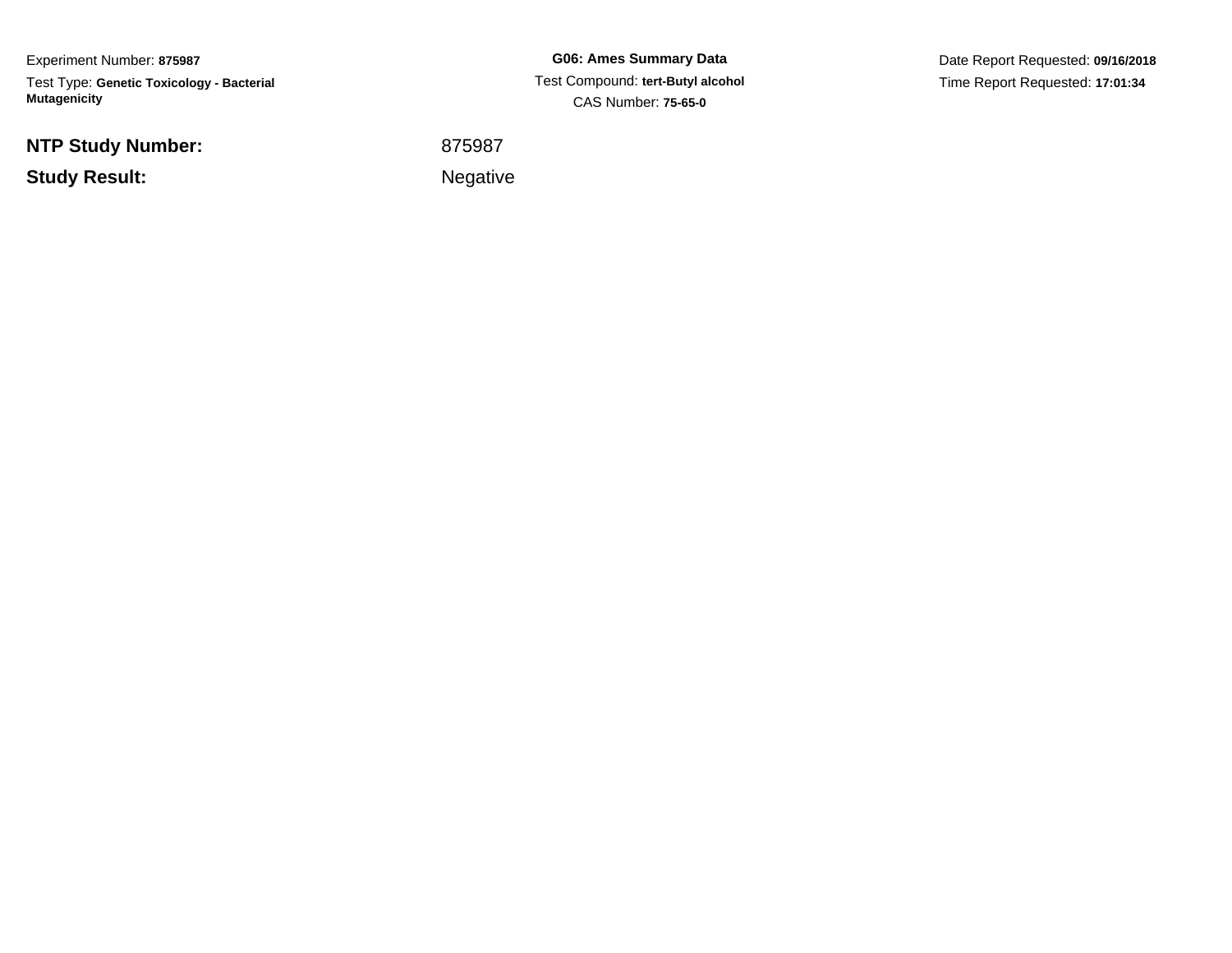Experiment Number: **875987**Test Type: **Genetic Toxicology - Bacterial Mutagenicity**

**NTP Study Number:**

**Study Result:**

**G06: Ames Summary Data** Test Compound: **tert-Butyl alcohol**CAS Number: **75-65-0**

Date Report Requested: **09/16/2018**Time Report Requested: **17:01:34**

<sup>875987</sup>

Negative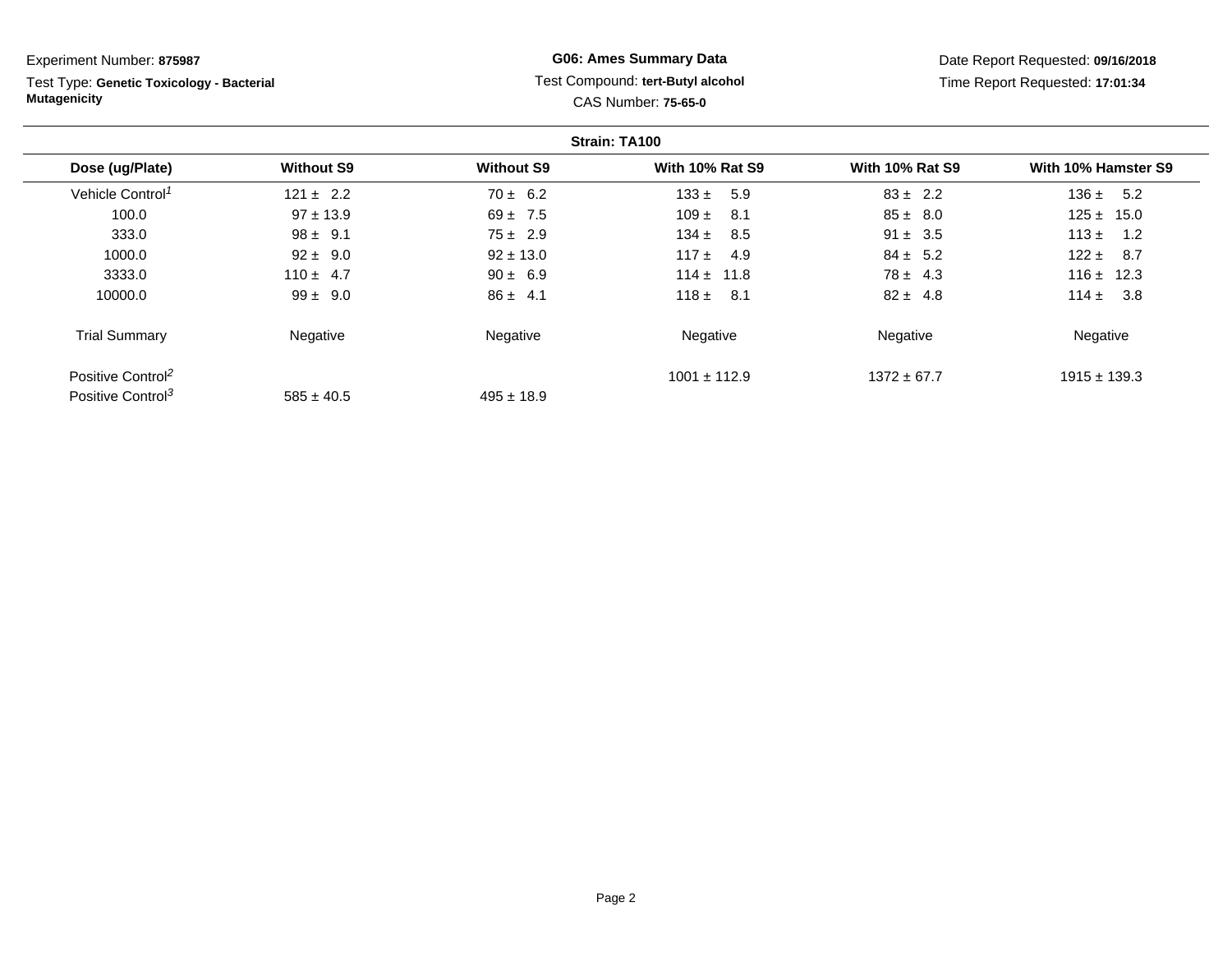Test Type: **Genetic Toxicology - Bacterial Mutagenicity**

# **G06: Ames Summary Data** Test Compound: **tert-Butyl alcohol** CAS Number: **75-65-0**

|                               |                   |                   | Strain: TA100          |                        |                     |
|-------------------------------|-------------------|-------------------|------------------------|------------------------|---------------------|
| Dose (ug/Plate)               | <b>Without S9</b> | <b>Without S9</b> | <b>With 10% Rat S9</b> | <b>With 10% Rat S9</b> | With 10% Hamster S9 |
| Vehicle Control <sup>1</sup>  | $121 \pm 2.2$     | $70 \pm 6.2$      | $133 \pm$<br>5.9       | $83 \pm 2.2$           | 136 $\pm$<br>5.2    |
| 100.0                         | $97 \pm 13.9$     | $69 \pm 7.5$      | $109 \pm$<br>-8.1      | $85 \pm 8.0$           | $125 \pm 15.0$      |
| 333.0                         | $98 \pm 9.1$      | $75 \pm 2.9$      | $134 \pm$<br>8.5       | $91 \pm 3.5$           | $113 \pm$<br>1.2    |
| 1000.0                        | $92 \pm 9.0$      | $92 \pm 13.0$     | $117 +$<br>-4.9        | $84 \pm 5.2$           | $122 \pm$<br>- 8.7  |
| 3333.0                        | $110 \pm 4.7$     | $90 \pm 6.9$      | $114 \pm 11.8$         | $78 \pm 4.3$           | $116 \pm 12.3$      |
| 10000.0                       | $99 \pm 9.0$      | $86 \pm 4.1$      | $118 \pm$<br>- 8.1     | $82 \pm 4.8$           | $114 \pm$<br>3.8    |
| <b>Trial Summary</b>          | Negative          | Negative          | Negative               | Negative               | Negative            |
| Positive Control <sup>2</sup> |                   |                   | $1001 \pm 112.9$       | $1372 \pm 67.7$        | $1915 \pm 139.3$    |
| Positive Control <sup>3</sup> | $585 \pm 40.5$    | $495 \pm 18.9$    |                        |                        |                     |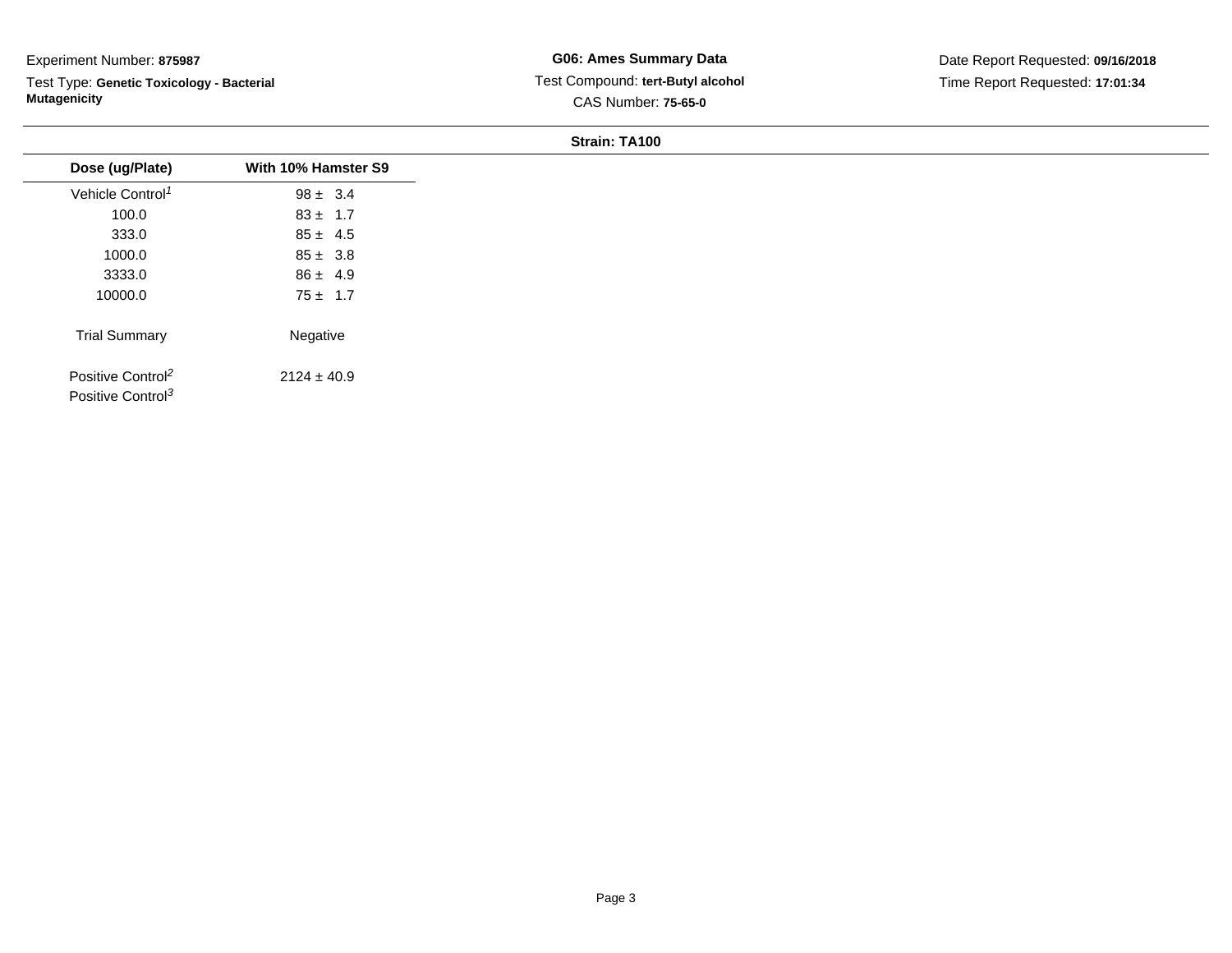Test Type: **Genetic Toxicology - Bacterial Mutagenicity**

| Dose (ug/Plate)                                                | With 10% Hamster S9 |
|----------------------------------------------------------------|---------------------|
| Vehicle Control <sup>1</sup>                                   | $98 \pm 3.4$        |
| 100.0                                                          | $83 \pm 1.7$        |
| 333.0                                                          | $85 \pm 4.5$        |
| 1000.0                                                         | $85 \pm 3.8$        |
| 3333.0                                                         | $86 \pm 4.9$        |
| 10000.0                                                        | $75 \pm 1.7$        |
| <b>Trial Summary</b>                                           | Negative            |
| Positive Control <sup>2</sup><br>Positive Control <sup>3</sup> | $2124 \pm 40.9$     |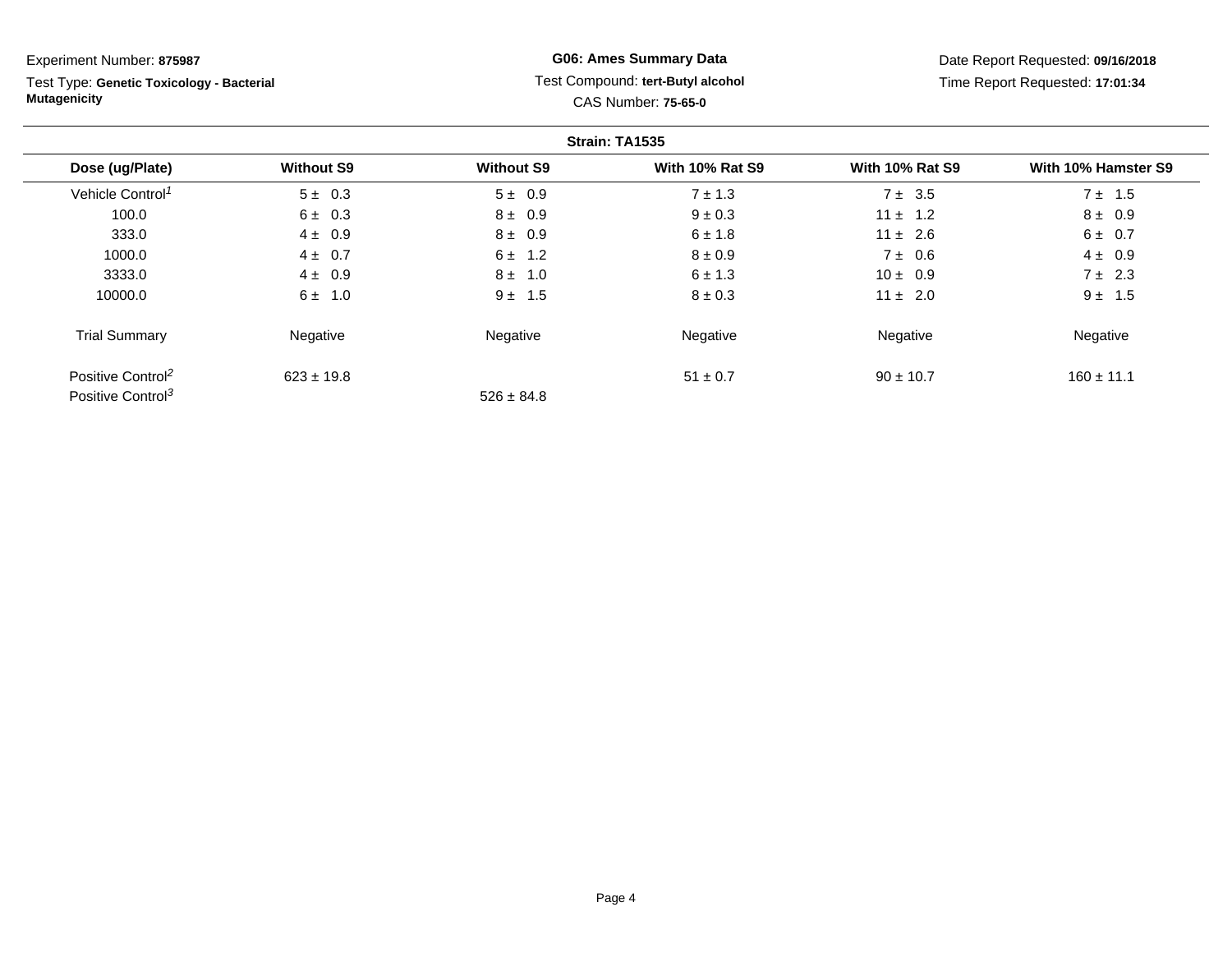Test Type: **Genetic Toxicology - Bacterial Mutagenicity**

# **G06: Ames Summary Data** Test Compound: **tert-Butyl alcohol** CAS Number: **75-65-0**

|                               |                   |                   | Strain: TA1535         |                        |                     |
|-------------------------------|-------------------|-------------------|------------------------|------------------------|---------------------|
| Dose (ug/Plate)               | <b>Without S9</b> | <b>Without S9</b> | <b>With 10% Rat S9</b> | <b>With 10% Rat S9</b> | With 10% Hamster S9 |
| Vehicle Control <sup>1</sup>  | $5 \pm 0.3$       | $5 \pm 0.9$       | $7 \pm 1.3$            | $7 \pm 3.5$            | $7 \pm 1.5$         |
| 100.0                         | $6 \pm 0.3$       | $8 \pm 0.9$       | $9 \pm 0.3$            | $11 \pm 1.2$           | $8 \pm 0.9$         |
| 333.0                         | $4 \pm 0.9$       | $8 \pm 0.9$       | $6 \pm 1.8$            | $11 \pm 2.6$           | $6 \pm 0.7$         |
| 1000.0                        | $4 \pm 0.7$       | 1.2<br>6 ±        | $8 \pm 0.9$            | $7 \pm 0.6$            | $4 \pm 0.9$         |
| 3333.0                        | $4 \pm 0.9$       | $8 \pm 1.0$       | $6 \pm 1.3$            | $10 \pm 0.9$           | $7 \pm 2.3$         |
| 10000.0                       | $6 \pm 1.0$       | $9 \pm 1.5$       | $8 \pm 0.3$            | $11 \pm 2.0$           | $9 \pm 1.5$         |
| <b>Trial Summary</b>          | Negative          | Negative          | Negative               | Negative               | Negative            |
| Positive Control <sup>2</sup> | $623 \pm 19.8$    |                   | $51 \pm 0.7$           | $90 \pm 10.7$          | $160 \pm 11.1$      |
| Positive Control <sup>3</sup> |                   | $526 \pm 84.8$    |                        |                        |                     |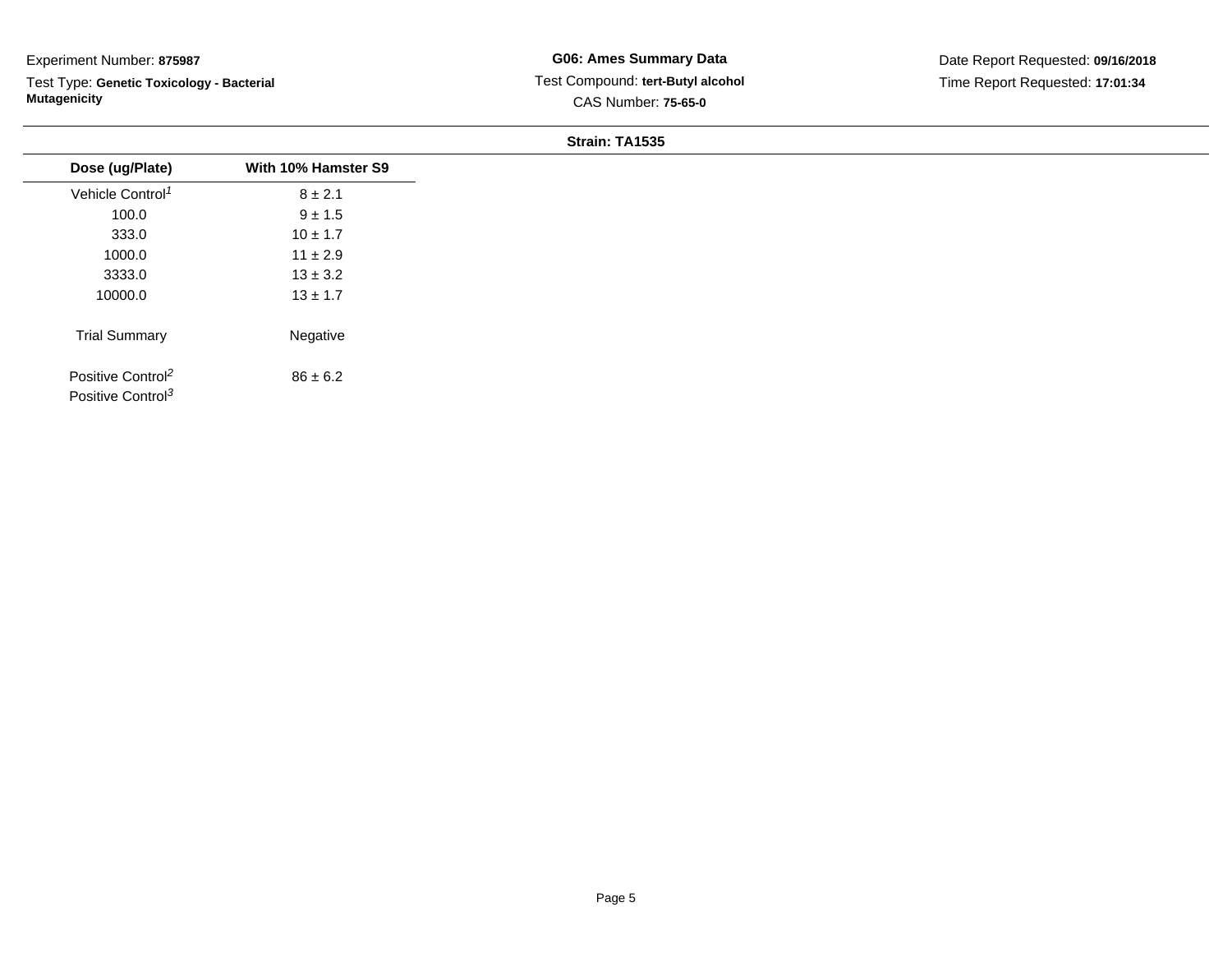Test Type: **Genetic Toxicology - Bacterial Mutagenicity**

| Dose (ug/Plate)                                                | With 10% Hamster S9 |
|----------------------------------------------------------------|---------------------|
| Vehicle Control <sup>1</sup>                                   | $8 \pm 2.1$         |
| 100.0                                                          | $9 \pm 1.5$         |
| 333.0                                                          | $10 \pm 1.7$        |
| 1000.0                                                         | $11 \pm 2.9$        |
| 3333.0                                                         | $13 \pm 3.2$        |
| 10000.0                                                        | $13 \pm 1.7$        |
| <b>Trial Summary</b>                                           | Negative            |
| Positive Control <sup>2</sup><br>Positive Control <sup>3</sup> | $86 \pm 6.2$        |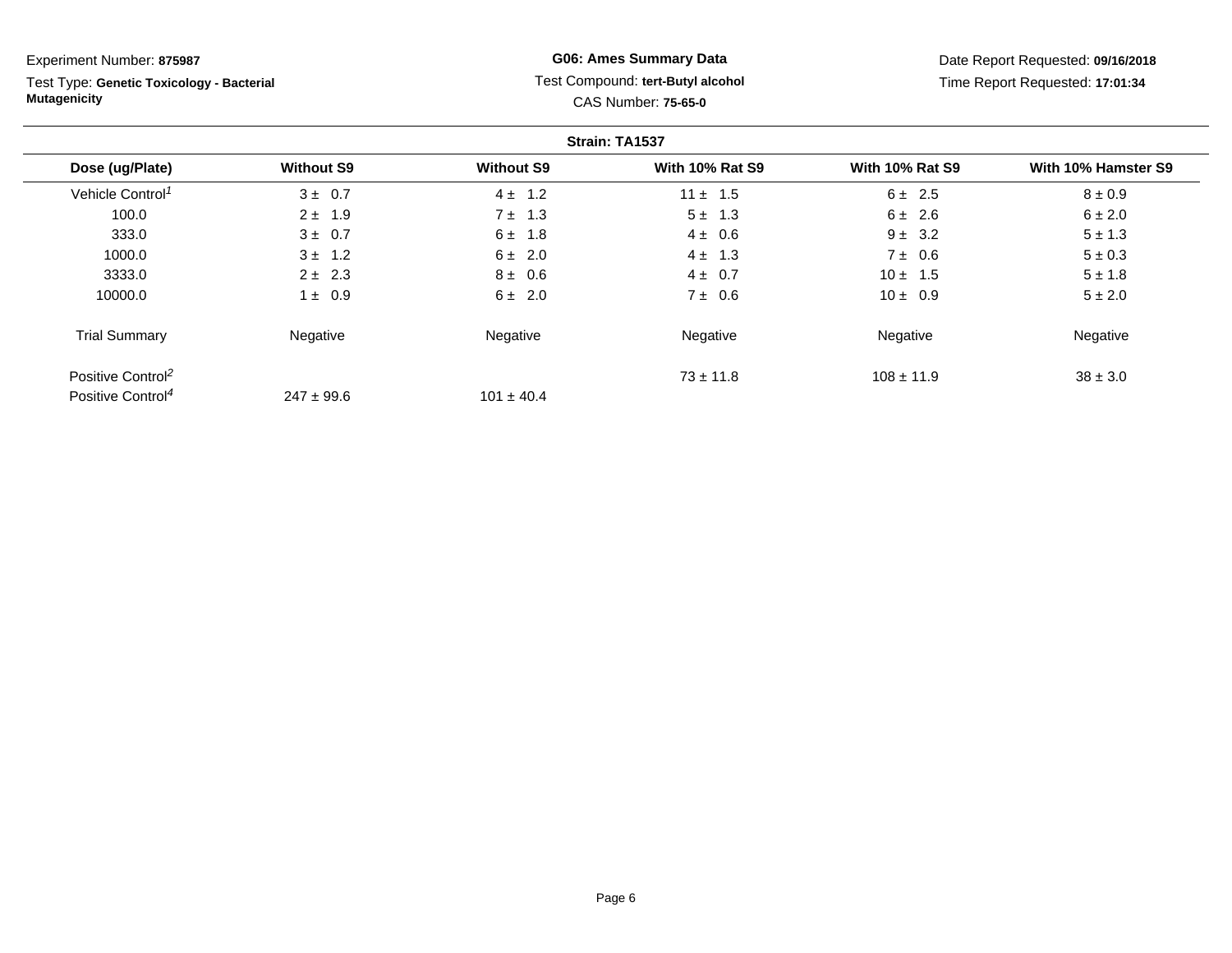Test Type: **Genetic Toxicology - Bacterial Mutagenicity**

# **G06: Ames Summary Data** Test Compound: **tert-Butyl alcohol** CAS Number: **75-65-0**

|                               |                   |                   | Strain: TA1537         |                        |                     |
|-------------------------------|-------------------|-------------------|------------------------|------------------------|---------------------|
| Dose (ug/Plate)               | <b>Without S9</b> | <b>Without S9</b> | <b>With 10% Rat S9</b> | <b>With 10% Rat S9</b> | With 10% Hamster S9 |
| Vehicle Control <sup>1</sup>  | $3 \pm 0.7$       | 1.2<br>$4 \pm$    | $11 \pm 1.5$           | $6 \pm 2.5$            | $8 \pm 0.9$         |
| 100.0                         | $2 \pm 1.9$       | $7 \pm 1.3$       | $5 \pm 1.3$            | $6 \pm 2.6$            | $6 \pm 2.0$         |
| 333.0                         | $3 \pm 0.7$       | 1.8<br>6 ±        | $4 \pm 0.6$            | $9 \pm 3.2$            | $5 \pm 1.3$         |
| 1000.0                        | $3 \pm 1.2$       | $6 \pm 2.0$       | $4 \pm 1.3$            | $7 \pm 0.6$            | $5 \pm 0.3$         |
| 3333.0                        | $2 \pm 2.3$       | $8 \pm 0.6$       | $4 \pm 0.7$            | $10 \pm 1.5$           | $5 \pm 1.8$         |
| 10000.0                       | $1 \pm 0.9$       | $6 \pm 2.0$       | $7 \pm 0.6$            | $10 \pm 0.9$           | $5 \pm 2.0$         |
| <b>Trial Summary</b>          | Negative          | Negative          | Negative               | Negative               | Negative            |
| Positive Control <sup>2</sup> |                   |                   | $73 \pm 11.8$          | $108 \pm 11.9$         | $38 \pm 3.0$        |
| Positive Control <sup>4</sup> | $247 \pm 99.6$    | $101 \pm 40.4$    |                        |                        |                     |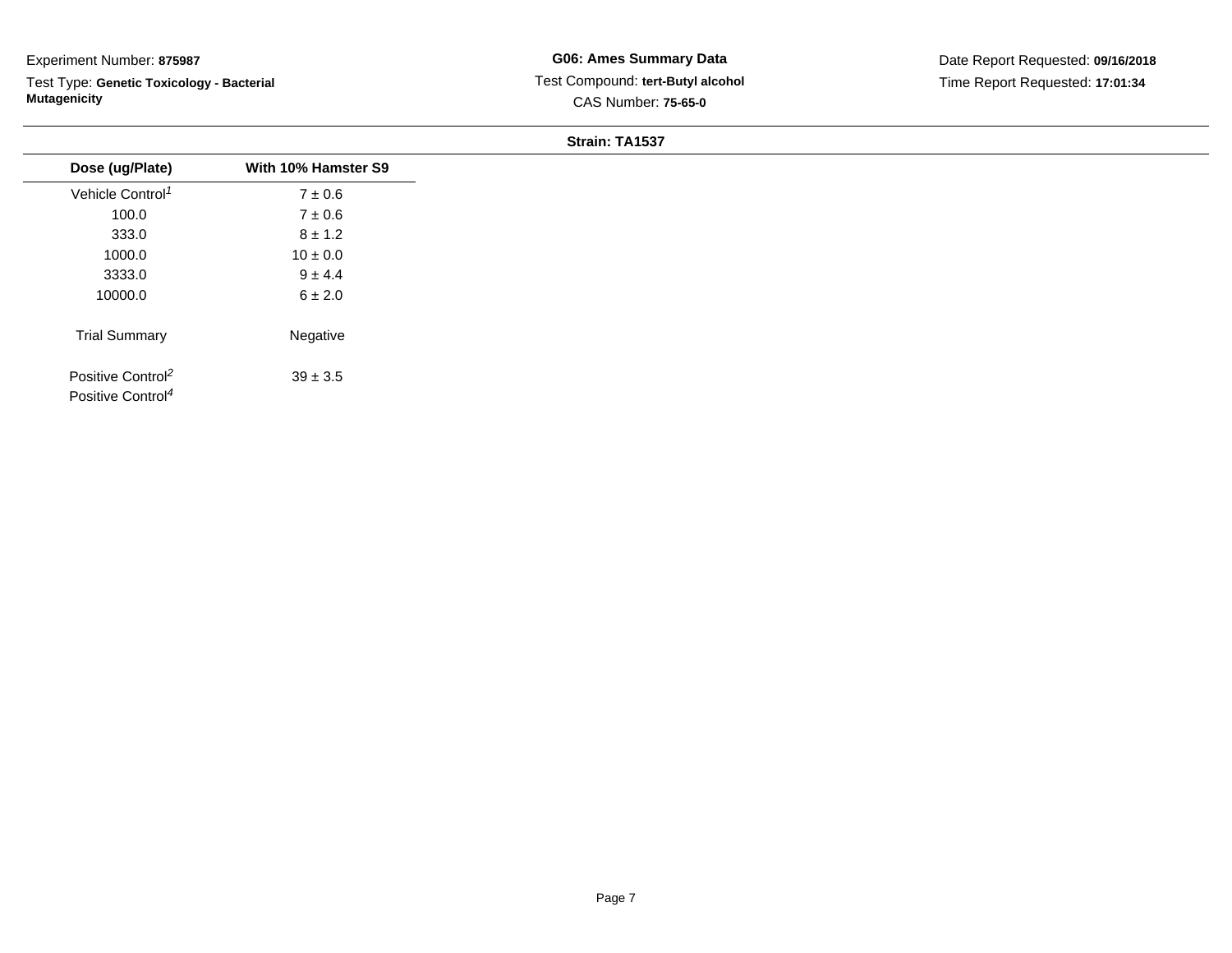Test Type: **Genetic Toxicology - Bacterial Mutagenicity**

| Dose (ug/Plate)                                                | With 10% Hamster S9 |
|----------------------------------------------------------------|---------------------|
| Vehicle Control <sup>1</sup>                                   | $7 \pm 0.6$         |
| 100.0                                                          | $7\pm0.6$           |
| 333.0                                                          | $8 \pm 1.2$         |
| 1000.0                                                         | $10 \pm 0.0$        |
| 3333.0                                                         | $9 \pm 4.4$         |
| 10000.0                                                        | $6 \pm 2.0$         |
| <b>Trial Summary</b>                                           | Negative            |
| Positive Control <sup>2</sup><br>Positive Control <sup>4</sup> | $39 \pm 3.5$        |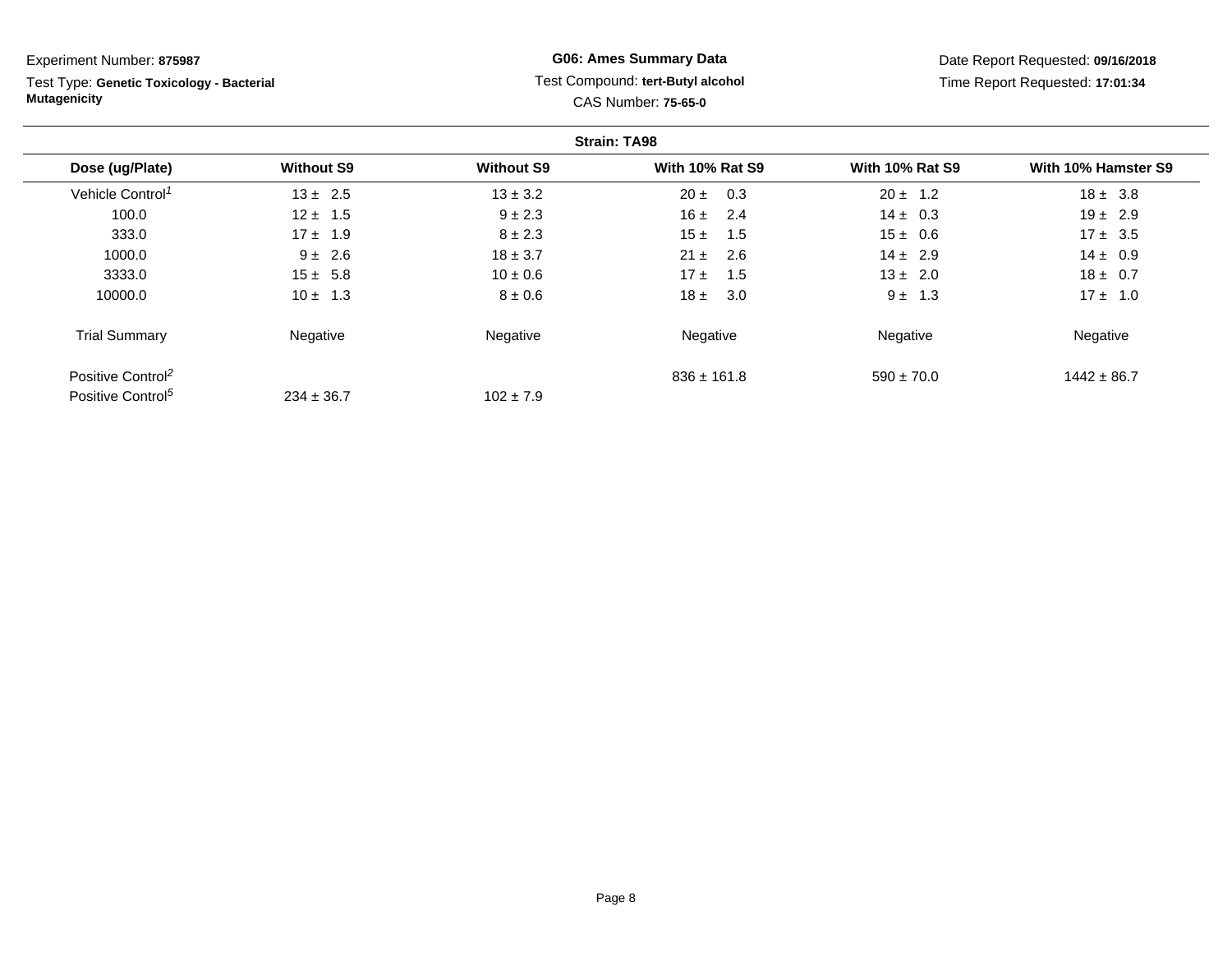Test Type: **Genetic Toxicology - Bacterial Mutagenicity**

# **G06: Ames Summary Data** Test Compound: **tert-Butyl alcohol** CAS Number: **75-65-0**

|                               |                   |                   | <b>Strain: TA98</b>    |                        |                     |
|-------------------------------|-------------------|-------------------|------------------------|------------------------|---------------------|
| Dose (ug/Plate)               | <b>Without S9</b> | <b>Without S9</b> | <b>With 10% Rat S9</b> | <b>With 10% Rat S9</b> | With 10% Hamster S9 |
| Vehicle Control <sup>1</sup>  | $13 \pm 2.5$      | $13 \pm 3.2$      | 0.3<br>$20 \pm$        | $20 \pm 1.2$           | $18 \pm 3.8$        |
| 100.0                         | $12 \pm 1.5$      | $9 \pm 2.3$       | 16±<br>2.4             | $14 \pm 0.3$           | $19 \pm 2.9$        |
| 333.0                         | $17 \pm 1.9$      | $8 \pm 2.3$       | 15±<br>1.5             | $15 \pm 0.6$           | $17 \pm 3.5$        |
| 1000.0                        | $9 \pm 2.6$       | $18 \pm 3.7$      | - 2.6<br>$21 \pm$      | $14 \pm 2.9$           | $14 \pm 0.9$        |
| 3333.0                        | $15 \pm 5.8$      | $10 \pm 0.6$      | 17±<br>1.5             | $13 \pm 2.0$           | $18 \pm 0.7$        |
| 10000.0                       | $10 \pm 1.3$      | $8 \pm 0.6$       | 3.0<br>18±             | $9 \pm 1.3$            | $17 \pm 1.0$        |
| <b>Trial Summary</b>          | Negative          | Negative          | Negative               | Negative               | Negative            |
| Positive Control <sup>2</sup> |                   |                   | $836 \pm 161.8$        | $590 \pm 70.0$         | $1442 \pm 86.7$     |
| Positive Control <sup>5</sup> | $234 \pm 36.7$    | $102 \pm 7.9$     |                        |                        |                     |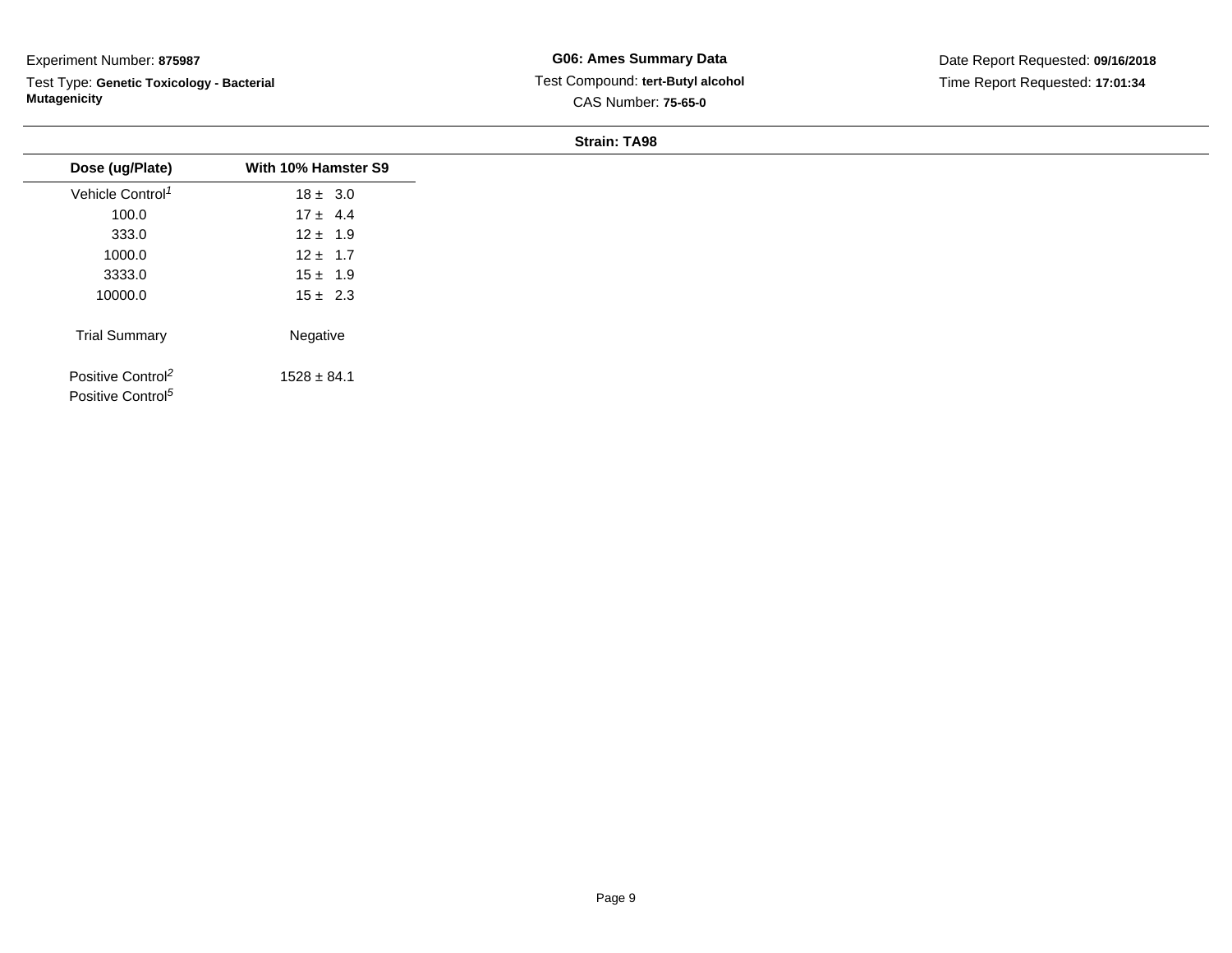Test Type: **Genetic Toxicology - Bacterial Mutagenicity**

**G06: Ames Summary Data** Test Compound: **tert-Butyl alcohol**CAS Number: **75-65-0**

| Dose (ug/Plate)                                                | With 10% Hamster S9 |
|----------------------------------------------------------------|---------------------|
| Vehicle Control <sup>1</sup>                                   | $18 \pm 3.0$        |
| 100.0                                                          | $17 \pm 4.4$        |
| 333.0                                                          | $12 \pm 1.9$        |
| 1000.0                                                         | $12 \pm 1.7$        |
| 3333.0                                                         | $15 \pm 1.9$        |
| 10000.0                                                        | $15 \pm 2.3$        |
| <b>Trial Summary</b>                                           | Negative            |
| Positive Control <sup>2</sup><br>Positive Control <sup>5</sup> | $1528 \pm 84.1$     |